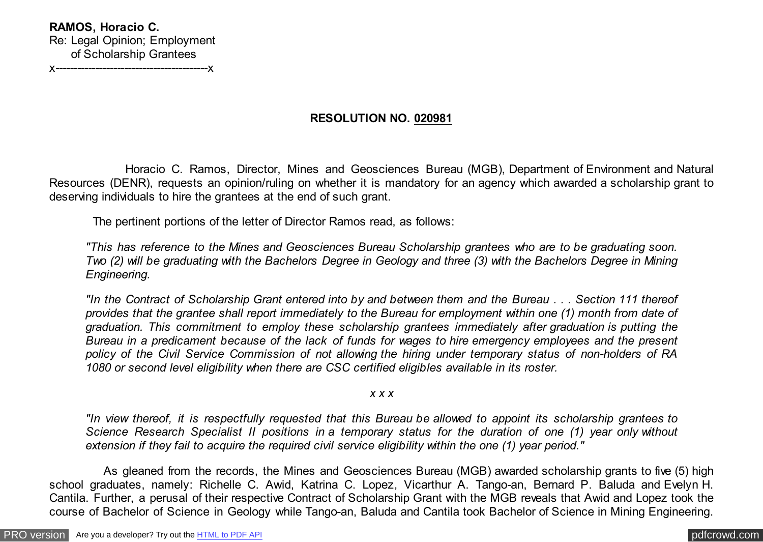## **RESOLUTION NO. 020981**

 Horacio C. Ramos, Director, Mines and Geosciences Bureau (MGB), Department of Environment and Natural Resources (DENR), requests an opinion/ruling on whether it is mandatory for an agency which awarded a scholarship grant to deserving individuals to hire the grantees at the end of such grant.

The pertinent portions of the letter of Director Ramos read, as follows:

*"This has reference to the Mines and Geosciences Bureau Scholarship grantees who are to be graduating soon. Two (2) will be graduating with the Bachelors Degree in Geology and three (3) with the Bachelors Degree in Mining Engineering.*

*"In the Contract of Scholarship Grant entered into by and between them and the Bureau . . . Section 111 thereof provides that the grantee shall report immediately to the Bureau for employment within one (1) month from date of graduation. This commitment to employ these scholarship grantees immediately after graduation is putting the Bureau in a predicament because of the lack of funds for wages to hire emergency employees and the present policy of the Civil Service Commission of not allowing the hiring under temporary status of non-holders of RA 1080 or second level eligibility when there are CSC certified eligibles available in its roster.*

*x x x*

*"In view thereof, it is respectfully requested that this Bureau be allowed to appoint its scholarship grantees to Science Research Specialist II positions in a temporary status for the duration of one (1) year only without extension if they fail to acquire the required civil service eligibility within the one (1) year period."*

 As gleaned from the records, the Mines and Geosciences Bureau (MGB) awarded scholarship grants to five (5) high school graduates, namely: Richelle C. Awid, Katrina C. Lopez, Vicarthur A. Tango-an, Bernard P. Baluda and Evelyn H. Cantila. Further, a perusal of their respective Contract of Scholarship Grant with the MGB reveals that Awid and Lopez took the course of Bachelor of Science in Geology while Tango-an, Baluda and Cantila took Bachelor of Science in Mining Engineering.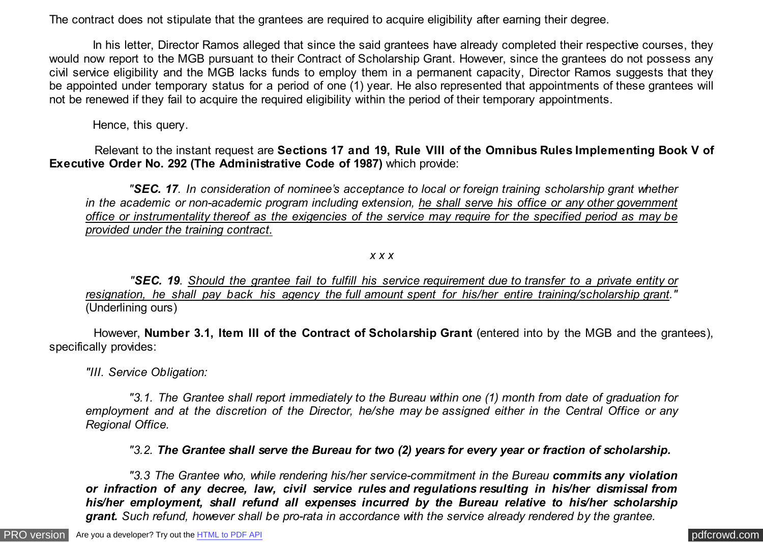The contract does not stipulate that the grantees are required to acquire eligibility after earning their degree.

In his letter, Director Ramos alleged that since the said grantees have already completed their respective courses, they would now report to the MGB pursuant to their Contract of Scholarship Grant. However, since the grantees do not possess any civil service eligibility and the MGB lacks funds to employ them in a permanent capacity, Director Ramos suggests that they be appointed under temporary status for a period of one (1) year. He also represented that appointments of these grantees will not be renewed if they fail to acquire the required eligibility within the period of their temporary appointments.

Hence, this query.

 Relevant to the instant request are **Sections 17 and 19, Rule VIII of the Omnibus Rules Implementing Book V of Executive Order No. 292 (The Administrative Code of 1987)** which provide:

 *"SEC. 17. In consideration of nominee's acceptance to local or foreign training scholarship grant whether in the academic or non-academic program including extension, he shall serve his office or any other government office or instrumentality thereof as the exigencies of the service may require for the specified period as may be provided under the training contract.*

*x x x*

 *"SEC. 19. Should the grantee fail to fulfill his service requirement due to transfer to a private entity or resignation, he shall pay back his agency the full amount spent for his/her entire training/scholarship grant."* (Underlining ours)

 However, **Number 3.1, Item III of the Contract of Scholarship Grant** (entered into by the MGB and the grantees), specifically provides:

*"III. Service Obligation:*

 *"3.1. The Grantee shall report immediately to the Bureau within one (1) month from date of graduation for employment and at the discretion of the Director, he/she may be assigned either in the Central Office or any Regional Office.*

 *"3.2. The Grantee shall serve the Bureau for two (2) years for every year or fraction of scholarship.*

"3.3 The Grantee who, while rendering his/her service-commitment in the Bureau **commits any violation** *or infraction of any decree, law, civil service rules and regulations resulting in his/her dismissal from his/her employment, shall refund all expenses incurred by the Bureau relative to his/her scholarship grant. Such refund, however shall be pro-rata in accordance with the service already rendered by the grantee.*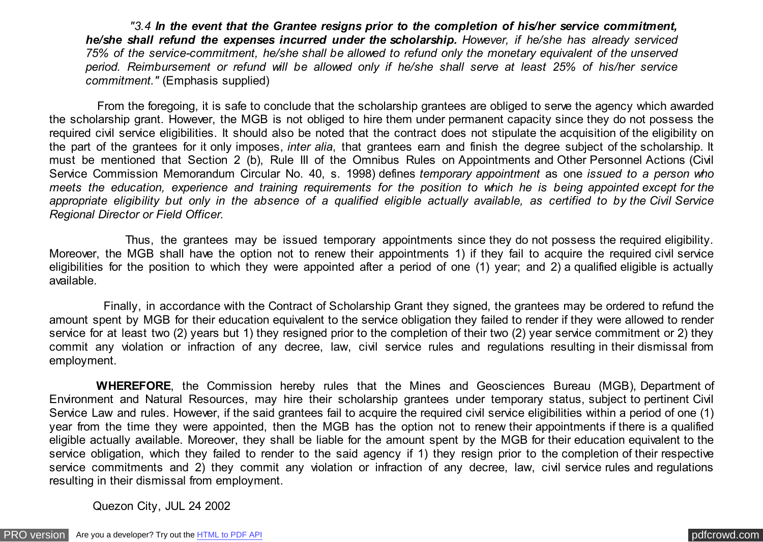*"3.4 In the event that the Grantee resigns prior to the completion of his/her service commitment, he/she shall refund the expenses incurred under the scholarship. However, if he/she has already serviced 75% of the service-commitment, he/she shall be allowed to refund only the monetary equivalent of the unserved period. Reimbursement or refund will be allowed only if he/she shall serve at least 25% of his/her service commitment."* (Emphasis supplied)

 From the foregoing, it is safe to conclude that the scholarship grantees are obliged to serve the agency which awarded the scholarship grant. However, the MGB is not obliged to hire them under permanent capacity since they do not possess the required civil service eligibilities. It should also be noted that the contract does not stipulate the acquisition of the eligibility on the part of the grantees for it only imposes, *inter alia*, that grantees earn and finish the degree subject of the scholarship. It must be mentioned that Section 2 (b), Rule III of the Omnibus Rules on Appointments and Other Personnel Actions (Civil Service Commission Memorandum Circular No. 40, s. 1998) defines *temporary appointment* as one *issued to a person who meets the education, experience and training requirements for the position to which he is being appointed except for the appropriate eligibility but only in the absence of a qualified eligible actually available, as certified to by the Civil Service Regional Director or Field Officer.*

 Thus, the grantees may be issued temporary appointments since they do not possess the required eligibility. Moreover, the MGB shall have the option not to renew their appointments 1) if they fail to acquire the required civil service eligibilities for the position to which they were appointed after a period of one (1) year; and 2) a qualified eligible is actually available.

 Finally, in accordance with the Contract of Scholarship Grant they signed, the grantees may be ordered to refund the amount spent by MGB for their education equivalent to the service obligation they failed to render if they were allowed to render service for at least two (2) years but 1) they resigned prior to the completion of their two (2) year service commitment or 2) they commit any violation or infraction of any decree, law, civil service rules and regulations resulting in their dismissal from employment.

 **WHEREFORE**, the Commission hereby rules that the Mines and Geosciences Bureau (MGB), Department of Environment and Natural Resources, may hire their scholarship grantees under temporary status, subject to pertinent Civil Service Law and rules. However, if the said grantees fail to acquire the required civil service eligibilities within a period of one (1) year from the time they were appointed, then the MGB has the option not to renew their appointments if there is a qualified eligible actually available. Moreover, they shall be liable for the amount spent by the MGB for their education equivalent to the service obligation, which they failed to render to the said agency if 1) they resign prior to the completion of their respective service commitments and 2) they commit any violation or infraction of any decree, law, civil service rules and regulations resulting in their dismissal from employment.

Quezon City, JUL 24 2002